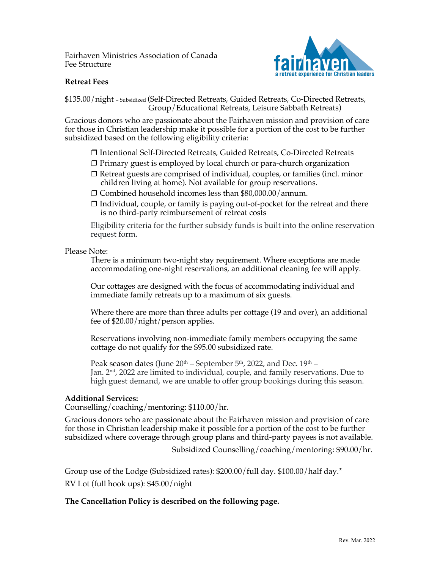Fairhaven Ministries Association of Canada Fee Structure



## **Retreat Fees**

\$135.00/night – Subsidized (Self-Directed Retreats, Guided Retreats, Co-Directed Retreats, Group/Educational Retreats, Leisure Sabbath Retreats)

Gracious donors who are passionate about the Fairhaven mission and provision of care for those in Christian leadership make it possible for a portion of the cost to be further subsidized based on the following eligibility criteria:

- ❒ Intentional Self-Directed Retreats, Guided Retreats, Co-Directed Retreats
- ❒ Primary guest is employed by local church or para-church organization
- ❒ Retreat guests are comprised of individual, couples, or families (incl. minor children living at home). Not available for group reservations.
- ❒ Combined household incomes less than \$80,000.00/annum.
- $\Box$  Individual, couple, or family is paying out-of-pocket for the retreat and there is no third-party reimbursement of retreat costs

Eligibility criteria for the further subsidy funds is built into the online reservation request form.

#### Please Note:

There is a minimum two-night stay requirement. Where exceptions are made accommodating one-night reservations, an additional cleaning fee will apply.

Our cottages are designed with the focus of accommodating individual and immediate family retreats up to a maximum of six guests.

Where there are more than three adults per cottage (19 and over), an additional fee of \$20.00/night/person applies.

Reservations involving non-immediate family members occupying the same cottage do not qualify for the \$95.00 subsidized rate.

Peak season dates (June  $20^{th}$  – September  $5^{th}$ , 2022, and Dec.  $19^{th}$  – Jan. 2<sup>nd</sup>, 2022 are limited to individual, couple, and family reservations. Due to high guest demand, we are unable to offer group bookings during this season.

### **Additional Services:**

Counselling/coaching/mentoring: \$110.00/hr.

Gracious donors who are passionate about the Fairhaven mission and provision of care for those in Christian leadership make it possible for a portion of the cost to be further subsidized where coverage through group plans and third-party payees is not available.

Subsidized Counselling/coaching/mentoring: \$90.00/hr.

Group use of the Lodge (Subsidized rates): \$200.00/full day. \$100.00/half day.\*

RV Lot (full hook ups): \$45.00/night

# **The Cancellation Policy is described on the following page.**